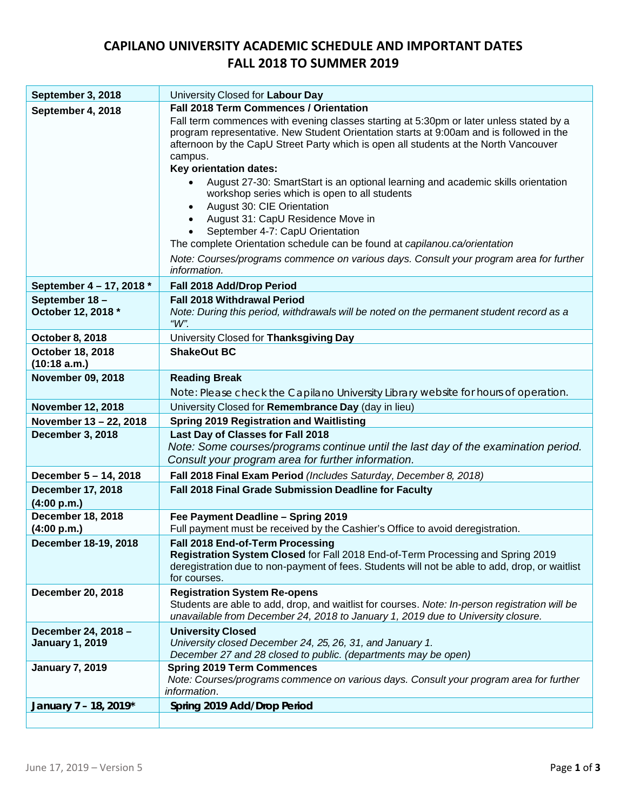## **CAPILANO UNIVERSITY ACADEMIC SCHEDULE AND IMPORTANT DATES FALL 2018 TO SUMMER 2019**

| September 3, 2018                             | University Closed for Labour Day                                                                                                                                                                                                                                                      |
|-----------------------------------------------|---------------------------------------------------------------------------------------------------------------------------------------------------------------------------------------------------------------------------------------------------------------------------------------|
| September 4, 2018                             | <b>Fall 2018 Term Commences / Orientation</b>                                                                                                                                                                                                                                         |
|                                               | Fall term commences with evening classes starting at 5:30pm or later unless stated by a<br>program representative. New Student Orientation starts at 9:00am and is followed in the<br>afternoon by the CapU Street Party which is open all students at the North Vancouver<br>campus. |
|                                               | Key orientation dates:                                                                                                                                                                                                                                                                |
|                                               | August 27-30: SmartStart is an optional learning and academic skills orientation<br>workshop series which is open to all students<br>August 30: CIE Orientation<br>August 31: CapU Residence Move in<br>September 4-7: CapU Orientation                                               |
|                                               | The complete Orientation schedule can be found at capilanou.ca/orientation                                                                                                                                                                                                            |
|                                               | Note: Courses/programs commence on various days. Consult your program area for further<br>information.                                                                                                                                                                                |
| September 4 - 17, 2018 *                      | Fall 2018 Add/Drop Period                                                                                                                                                                                                                                                             |
| September 18-<br>October 12, 2018 *           | <b>Fall 2018 Withdrawal Period</b><br>Note: During this period, withdrawals will be noted on the permanent student record as a<br>" $W$ ".                                                                                                                                            |
| <b>October 8, 2018</b>                        | University Closed for Thanksgiving Day                                                                                                                                                                                                                                                |
| October 18, 2018<br>(10:18 a.m.)              | <b>ShakeOut BC</b>                                                                                                                                                                                                                                                                    |
| <b>November 09, 2018</b>                      | <b>Reading Break</b>                                                                                                                                                                                                                                                                  |
|                                               | Note: Please check the Capilano University Library website for hours of operation.                                                                                                                                                                                                    |
| <b>November 12, 2018</b>                      | University Closed for Remembrance Day (day in lieu)                                                                                                                                                                                                                                   |
| November 13 - 22, 2018                        | <b>Spring 2019 Registration and Waitlisting</b>                                                                                                                                                                                                                                       |
| December 3, 2018                              | Last Day of Classes for Fall 2018<br>Note: Some courses/programs continue until the last day of the examination period.                                                                                                                                                               |
|                                               | Consult your program area for further information.                                                                                                                                                                                                                                    |
| December 5 - 14, 2018                         | Fall 2018 Final Exam Period (Includes Saturday, December 8, 2018)                                                                                                                                                                                                                     |
| <b>December 17, 2018</b><br>(4:00 p.m.)       | Fall 2018 Final Grade Submission Deadline for Faculty                                                                                                                                                                                                                                 |
| <b>December 18, 2018</b><br>(4:00 p.m.)       | Fee Payment Deadline - Spring 2019<br>Full payment must be received by the Cashier's Office to avoid deregistration.                                                                                                                                                                  |
| December 18-19, 2018                          | Fall 2018 End-of-Term Processing<br>Registration System Closed for Fall 2018 End-of-Term Processing and Spring 2019<br>deregistration due to non-payment of fees. Students will not be able to add, drop, or waitlist<br>for courses.                                                 |
| <b>December 20, 2018</b>                      | <b>Registration System Re-opens</b><br>Students are able to add, drop, and waitlist for courses. Note: In-person registration will be<br>unavailable from December 24, 2018 to January 1, 2019 due to University closure.                                                             |
| December 24, 2018 -<br><b>January 1, 2019</b> | <b>University Closed</b><br>University closed December 24, 25, 26, 31, and January 1.<br>December 27 and 28 closed to public. (departments may be open)                                                                                                                               |
| <b>January 7, 2019</b>                        | <b>Spring 2019 Term Commences</b><br>Note: Courses/programs commence on various days. Consult your program area for further<br><i>information.</i>                                                                                                                                    |
| January 7 - 18, 2019*                         | Spring 2019 Add/Drop Period                                                                                                                                                                                                                                                           |
|                                               |                                                                                                                                                                                                                                                                                       |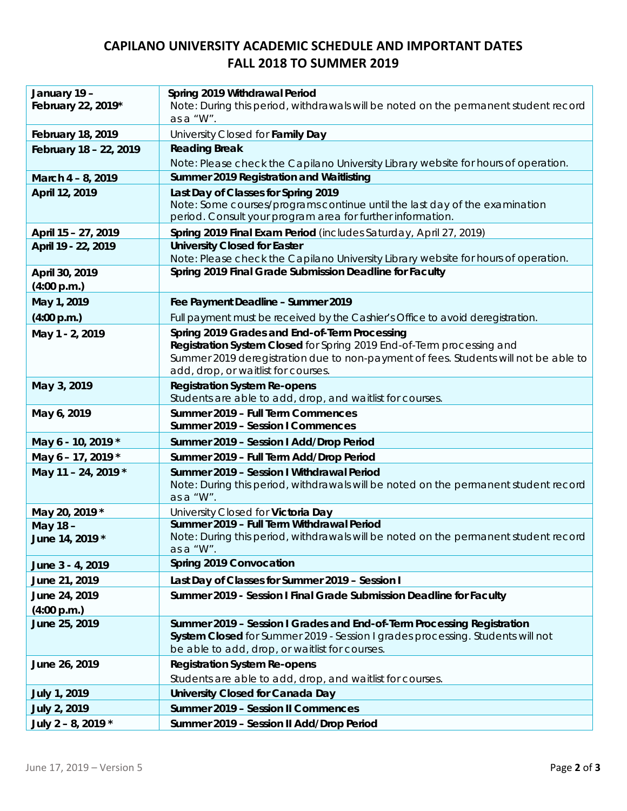## **CAPILANO UNIVERSITY ACADEMIC SCHEDULE AND IMPORTANT DATES FALL 2018 TO SUMMER 2019**

| January 19 -<br>February 22, 2019* | Spring 2019 Withdrawal Period<br>Note: During this period, withdrawals will be noted on the permanent student record<br>as a "W".                                                                          |
|------------------------------------|------------------------------------------------------------------------------------------------------------------------------------------------------------------------------------------------------------|
| <b>February 18, 2019</b>           | University Closed for Family Day                                                                                                                                                                           |
| February 18 - 22, 2019             | <b>Reading Break</b>                                                                                                                                                                                       |
|                                    | Note: Please check the Capilano University Library website for hours of operation.                                                                                                                         |
| March 4 - 8, 2019                  | Summer 2019 Registration and Waitlisting                                                                                                                                                                   |
| April 12, 2019                     | Last Day of Classes for Spring 2019<br>Note: Some courses/programs continue until the last day of the examination<br>period. Consult your program area for further information.                            |
| April 15 - 27, 2019                | Spring 2019 Final Exam Period (includes Saturday, April 27, 2019)                                                                                                                                          |
| April 19 - 22, 2019                | <b>University Closed for Easter</b>                                                                                                                                                                        |
|                                    | Note: Please check the Capilano University Library website for hours of operation.                                                                                                                         |
| April 30, 2019<br>(4:00 p.m.)      | Spring 2019 Final Grade Submission Deadline for Faculty                                                                                                                                                    |
| May 1, 2019                        | Fee Payment Deadline - Summer 2019                                                                                                                                                                         |
| (4:00 p.m.)                        | Full payment must be received by the Cashier's Office to avoid deregistration.                                                                                                                             |
| May 1 - 2, 2019                    | Spring 2019 Grades and End-of-Term Processing                                                                                                                                                              |
|                                    | Registration System Closed for Spring 2019 End-of-Term processing and<br>Summer 2019 deregistration due to non-payment of fees. Students will not be able to<br>add, drop, or waitlist for courses.        |
| May 3, 2019                        | <b>Registration System Re-opens</b>                                                                                                                                                                        |
|                                    | Students are able to add, drop, and waitlist for courses.                                                                                                                                                  |
|                                    |                                                                                                                                                                                                            |
| May 6, 2019                        | Summer 2019 - Full Term Commences<br>Summer 2019 - Session I Commences                                                                                                                                     |
| May 6 - 10, 2019 *                 | Summer 2019 - Session I Add/Drop Period                                                                                                                                                                    |
| May 6 - 17, 2019 *                 | Summer 2019 - Full Term Add/Drop Period                                                                                                                                                                    |
| May 11 - 24, 2019 *                | Summer 2019 - Session I Withdrawal Period<br>Note: During this period, withdrawals will be noted on the permanent student record<br>as a "W".                                                              |
|                                    |                                                                                                                                                                                                            |
| May 20, 2019 *<br>May 18 -         | University Closed for Victoria Day<br>Summer 2019 - Full Term Withdrawal Period                                                                                                                            |
| June 14, 2019 *                    | Note: During this period, withdrawals will be noted on the permanent student record<br>as a "W".                                                                                                           |
| June 3 - 4, 2019                   | Spring 2019 Convocation                                                                                                                                                                                    |
| June 21, 2019                      | Last Day of Classes for Summer 2019 - Session I                                                                                                                                                            |
| June 24, 2019                      | Summer 2019 - Session I Final Grade Submission Deadline for Faculty                                                                                                                                        |
| (4:00 p.m.)<br>June 25, 2019       | Summer 2019 - Session I Grades and End-of-Term Processing Registration<br>System Closed for Summer 2019 - Session I grades processing. Students will not<br>be able to add, drop, or waitlist for courses. |
| June 26, 2019                      | <b>Registration System Re-opens</b>                                                                                                                                                                        |
|                                    | Students are able to add, drop, and waitlist for courses.                                                                                                                                                  |
| <b>July 1, 2019</b>                | <b>University Closed for Canada Day</b>                                                                                                                                                                    |
| July 2, 2019                       | <b>Summer 2019 - Session II Commences</b>                                                                                                                                                                  |